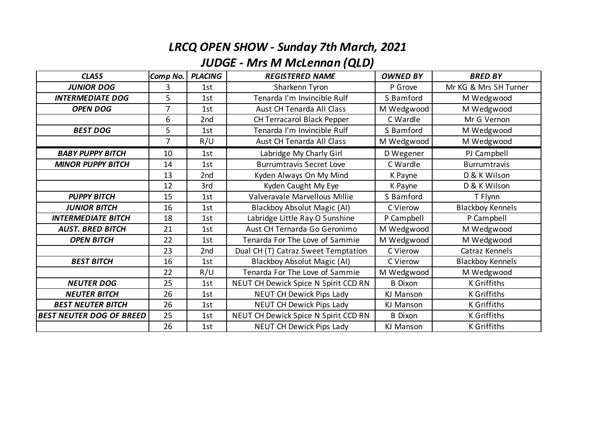## *LRCQ OPEN SHOW - Sunday 7th March, 2021*

## *JUDGE - Mrs M McLennan (QLD)*

| <b>CLASS</b>                    | Comp No.       | <b>PLACING</b> | <b>REGISTERED NAME</b>               | <b>OWNED BY</b> | <b>BRED BY</b>          |
|---------------------------------|----------------|----------------|--------------------------------------|-----------------|-------------------------|
| <b>JUNIOR DOG</b>               | 3              | 1st            | Sharkenn Tyron                       | P Grove         | Mr KG & Mrs SH Turner   |
| <b>INTERMEDIATE DOG</b>         | 5              | 1st            | Tenarda I'm Invincible Rulf          | S Bamford       | M Wedgwood              |
| <b>OPEN DOG</b>                 | $\overline{7}$ | 1st            | Aust CH Tenarda All Class            | M Wedgwood      | M Wedgwood              |
|                                 | 6              | 2nd            | CH Terracarol Black Pepper           | C Wardle        | Mr G Vernon             |
| <b>BEST DOG</b>                 | 5              | 1st            | Tenarda I'm Invincible Rulf          | S Bamford       | M Wedgwood              |
|                                 | $\overline{7}$ | R/U            | Aust CH Tenarda All Class            | M Wedgwood      | M Wedgwood              |
| <b>BABY PUPPY BITCH</b>         | 10             | 1st            | Labridge My Charly Girl              | D Wegener       | PJ Campbell             |
| <b>MINOR PUPPY BITCH</b>        | 14             | 1st            | <b>Burrumtravis Secret Love</b>      | C Wardle        | <b>Burrumtravis</b>     |
|                                 | 13             | 2nd            | Kyden Always On My Mind              | K Payne         | D & K Wilson            |
|                                 | 12             | 3rd            | Kyden Caught My Eye                  | K Payne         | D & K Wilson            |
| <b>PUPPY BITCH</b>              | 15             | 1st            | Valveravale Marvellous Millie        | S Bamford       | T Flynn                 |
| <b>JUNIOR BITCH</b>             | 16             | 1st            | Blackboy Absolut Magic (AI)          | C Vierow        | <b>Blackboy Kennels</b> |
| <b>INTERMEDIATE BITCH</b>       | 18             | 1st            | Labridge Little Ray O Sunshine       | P Campbell      | P Campbell              |
| <b>AUST. BRED BITCH</b>         | 21             | 1st            | Aust CH Ternarda Go Geronimo         | M Wedgwood      | M Wedgwood              |
| <b>OPEN BITCH</b>               | 22             | 1st            | Tenarda For The Love of Sammie       | M Wedgwood      | M Wedgwood              |
|                                 | 23             | 2nd            | Dual CH (T) Catraz Sweet Temptation  | C Vierow        | Catraz Kennels          |
| <b>BEST BITCH</b>               | 16             | 1st            | <b>Blackboy Absolut Magic (AI)</b>   | C Vierow        | <b>Blackboy Kennels</b> |
|                                 | 22             | R/U            | Tenarda For The Love of Sammie       | M Wedgwood      | M Wedgwood              |
| <b>NEUTER DOG</b>               | 25             | 1st            | NEUT CH Dewick Spice N Spirit CCD RN | <b>B</b> Dixon  | K Griffiths             |
| <b>NEUTER BITCH</b>             | 26             | 1st            | NEUT CH Dewick Pips Lady             | KJ Manson       | K Griffiths             |
| <b>BEST NEUTER BITCH</b>        | 26             | 1st            | NEUT CH Dewick Pips Lady             | KJ Manson       | K Griffiths             |
| <b>BEST NEUTER DOG OF BREED</b> | 25             | 1st            | NEUT CH Dewick Spice N Spirit CCD RN | <b>B</b> Dixon  | K Griffiths             |
|                                 | 26             | 1st            | NEUT CH Dewick Pips Lady             | KJ Manson       | <b>K</b> Griffiths      |